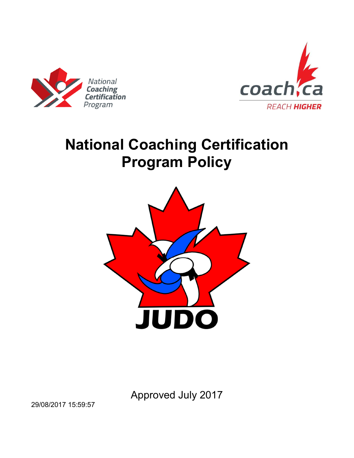



# **National Coaching Certification Program Policy**



Approved July 2017

29/08/2017 15:59:57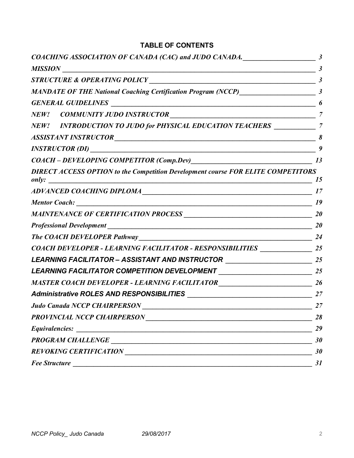### **TABLE OF CONTENTS**

| COACHING ASSOCIATION OF CANADA (CAC) and JUDO CANADA.                                                                                                                |                |
|----------------------------------------------------------------------------------------------------------------------------------------------------------------------|----------------|
| <b>MISSION</b><br><u> 1980 - Johann Barn, mars ar breithinn ar chwaraeth a bhaile ann an t-Alban ann an t-Alban ann an t-Alban ann a</u>                             |                |
| STRUCTURE & OPERATING POLICY MELLET AND RESERVE THE RESERVE TO A REPORT OF THE RESERVE THE RESERVE THAT AND RE                                                       |                |
|                                                                                                                                                                      |                |
|                                                                                                                                                                      |                |
|                                                                                                                                                                      |                |
| NEW! INTRODUCTION TO JUDO for PHYSICAL EDUCATION TEACHERS ___________                                                                                                | $\overline{7}$ |
|                                                                                                                                                                      | 8              |
|                                                                                                                                                                      | 9              |
|                                                                                                                                                                      |                |
| <b>DIRECT ACCESS OPTION to the Competition Development course FOR ELITE COMPETITORS</b><br>only:<br><u> 1989 - Johann John Stone, meilich aus der Stone († 1989)</u> | 15             |
|                                                                                                                                                                      |                |
| Mentor Coach:                                                                                                                                                        | 19             |
|                                                                                                                                                                      |                |
| Professional Development 20 20                                                                                                                                       |                |
|                                                                                                                                                                      | 24             |
| COACH DEVELOPER - LEARNING FACILITATOR - RESPONSIBILITIES _______________________ 25                                                                                 |                |
| LEARNING FACILITATOR - ASSISTANT AND INSTRUCTOR _________________________________                                                                                    |                |
|                                                                                                                                                                      |                |
|                                                                                                                                                                      |                |
|                                                                                                                                                                      |                |
|                                                                                                                                                                      |                |
|                                                                                                                                                                      | 28             |
|                                                                                                                                                                      | 29             |
|                                                                                                                                                                      | 30             |
|                                                                                                                                                                      | 30             |
| <b>Fee Structure</b>                                                                                                                                                 | 31             |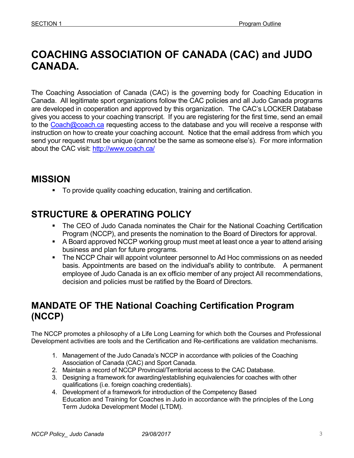# **COACHING ASSOCIATION OF CANADA (CAC) and JUDO CANADA.**

The Coaching Association of Canada (CAC) is the governing body for Coaching Education in Canada. All legitimate sport organizations follow the CAC policies and all Judo Canada programs are developed in cooperation and approved by this organization. The CAC's LOCKER Database gives you access to your coaching transcript. If you are registering for the first time, send an email to the Coach@coach.ca requesting access to the database and you will receive a response with instruction on how to create your coaching account. Notice that the email address from which you send your request must be unique (cannot be the same as someone else's). For more information about the CAC visit: http://www.coach.ca/

# **MISSION**

To provide quality coaching education, training and certification.

# **STRUCTURE & OPERATING POLICY**

- The CEO of Judo Canada nominates the Chair for the National Coaching Certification Program (NCCP), and presents the nomination to the Board of Directors for approval.
- A Board approved NCCP working group must meet at least once a year to attend arising business and plan for future programs.
- **The NCCP Chair will appoint volunteer personnel to Ad Hoc commissions on as needed** basis. Appointments are based on the individual's ability to contribute. A permanent employee of Judo Canada is an ex officio member of any project All recommendations, decision and policies must be ratified by the Board of Directors.

# **MANDATE OF THE National Coaching Certification Program (NCCP)**

The NCCP promotes a philosophy of a Life Long Learning for which both the Courses and Professional Development activities are tools and the Certification and Re-certifications are validation mechanisms.

- 1. Management of the Judo Canada's NCCP in accordance with policies of the Coaching Association of Canada (CAC) and Sport Canada.
- 2. Maintain a record of NCCP Provincial/Territorial access to the CAC Database.
- 3. Designing a framework for awarding/establishing equivalencies for coaches with other qualifications (i.e. foreign coaching credentials).
- 4. Development of a framework for introduction of the Competency Based Education and Training for Coaches in Judo in accordance with the principles of the Long Term Judoka Development Model (LTDM).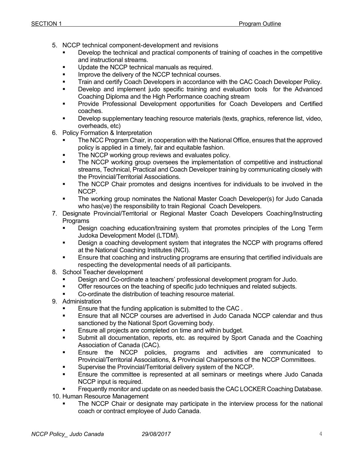- 5. NCCP technical component-development and revisions
	- Develop the technical and practical components of training of coaches in the competitive and instructional streams.
	- **Update the NCCP technical manuals as required.**
	- **IMPROVE the delivery of the NCCP technical courses.**
	- **Train and certify Coach Developers in accordance with the CAC Coach Developer Policy.**
	- **•** Develop and implement judo specific training and evaluation tools for the Advanced Coaching Diploma and the High Performance coaching stream
	- Provide Professional Development opportunities for Coach Developers and Certified coaches.
	- Develop supplementary teaching resource materials (texts, graphics, reference list, video, overheads, etc)
- 6. Policy Formation & Interpretation
	- The NCC Program Chair, in cooperation with the National Office, ensures that the approved policy is applied in a timely, fair and equitable fashion.
	- **The NCCP working group reviews and evaluates policy.**
	- The NCCP working group oversees the implementation of competitive and instructional streams, Technical, Practical and Coach Developer training by communicating closely with the Provincial/Territorial Associations.
	- The NCCP Chair promotes and designs incentives for individuals to be involved in the NCCP.
	- The working group nominates the National Master Coach Developer(s) for Judo Canada who has(ve) the responsibility to train Regional Coach Developers.
- 7. Designate Provincial/Territorial or Regional Master Coach Developers Coaching/Instructing Programs
	- Design coaching education/training system that promotes principles of the Long Term Judoka Development Model (LTDM).
	- Design a coaching development system that integrates the NCCP with programs offered at the National Coaching Institutes (NCI).
	- **Ensure that coaching and instructing programs are ensuring that certified individuals are** respecting the developmental needs of all participants.
- 8. School Teacher development
	- Design and Co-ordinate a teachers' professional development program for Judo.
	- **The Contract of the teaching of specific judo techniques and related subjects.**
	- Co-ordinate the distribution of teaching resource material.
- 9. Administration
	- Ensure that the funding application is submitted to the CAC .
	- Ensure that all NCCP courses are advertised in Judo Canada NCCP calendar and thus sanctioned by the National Sport Governing body.
	- **Ensure all projects are completed on time and within budget.**
	- Submit all documentation, reports, etc. as required by Sport Canada and the Coaching Association of Canada (CAC).
	- **Ensure the NCCP policies, programs and activities are communicated to** Provincial/Territorial Associations, & Provincial Chairpersons of the NCCP Committees.
	- **Supervise the Provincial/Territorial delivery system of the NCCP.**
	- Ensure the committee is represented at all seminars or meetings where Judo Canada NCCP input is required.
	- Frequently monitor and update on as needed basis the CAC LOCKER Coaching Database.
- 10. Human Resource Management
	- **The NCCP Chair or designate may participate in the interview process for the national** coach or contract employee of Judo Canada.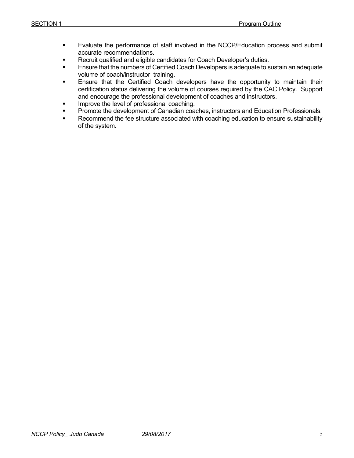- Evaluate the performance of staff involved in the NCCP/Education process and submit accurate recommendations.
- **Recruit qualified and eligible candidates for Coach Developer's duties.**
- **Ensure that the numbers of Certified Coach Developers is adequate to sustain an adequate** volume of coach/instructor training.
- **Ensure that the Certified Coach developers have the opportunity to maintain their** certification status delivering the volume of courses required by the CAC Policy. Support and encourage the professional development of coaches and instructors.
- Improve the level of professional coaching.
- **Promote the development of Canadian coaches, instructors and Education Professionals.**
- Recommend the fee structure associated with coaching education to ensure sustainability of the system.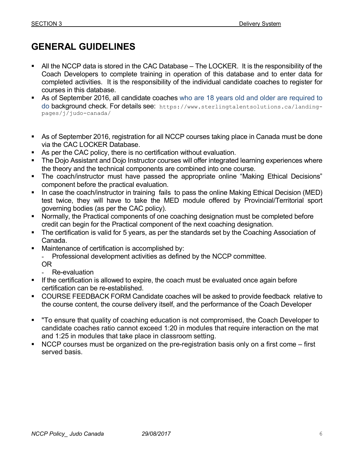# **GENERAL GUIDELINES**

- All the NCCP data is stored in the CAC Database The LOCKER. It is the responsibility of the Coach Developers to complete training in operation of this database and to enter data for completed activities. It is the responsibility of the individual candidate coaches to register for courses in this database.
- As of September 2016, all candidate coaches who are 18 years old and older are required to do background check. For details see: https://www.sterlingtalentsolutions.ca/landingpages/j/judo-canada/
- As of September 2016, registration for all NCCP courses taking place in Canada must be done via the CAC LOCKER Database.
- As per the CAC policy, there is no certification without evaluation.
- The Dojo Assistant and Dojo Instructor courses will offer integrated learning experiences where the theory and the technical components are combined into one course.
- The coach/instructor must have passed the appropriate online "Making Ethical Decisions" component before the practical evaluation.
- In case the coach/instructor in training fails to pass the online Making Ethical Decision (MED) test twice, they will have to take the MED module offered by Provincial/Territorial sport governing bodies (as per the CAC policy).
- Normally, the Practical components of one coaching designation must be completed before credit can begin for the Practical component of the next coaching designation.
- The certification is valid for 5 years, as per the standards set by the Coaching Association of Canada.
- Maintenance of certification is accomplished by:

- Professional development activities as defined by the NCCP committee.

- OR
- Re-evaluation
- If the certification is allowed to expire, the coach must be evaluated once again before certification can be re-established.
- COURSE FEEDBACK FORM Candidate coaches will be asked to provide feedback relative to the course content, the course delivery itself, and the performance of the Coach Developer
- "To ensure that quality of coaching education is not compromised, the Coach Developer to candidate coaches ratio cannot exceed 1:20 in modules that require interaction on the mat and 1:25 in modules that take place in classroom setting.
- NCCP courses must be organized on the pre-registration basis only on a first come first served basis.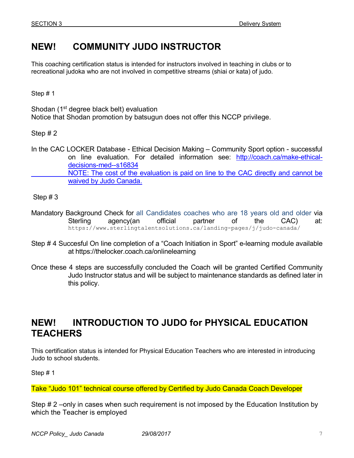# **NEW! COMMUNITY JUDO INSTRUCTOR**

This coaching certification status is intended for instructors involved in teaching in clubs or to recreational judoka who are not involved in competitive streams (shiai or kata) of judo.

Step # 1

Shodan (1<sup>st</sup> degree black belt) evaluation Notice that Shodan promotion by batsugun does not offer this NCCP privilege.

Step # 2

In the CAC LOCKER Database - Ethical Decision Making – Community Sport option - successful on line evaluation. For detailed information see: http://coach.ca/make-ethicaldecisions-med--s16834 NOTE: The cost of the evaluation is paid on line to the CAC directly and cannot be waived by Judo Canada.

Step # 3

- Mandatory Background Check for all Candidates coaches who are 18 years old and older via Sterling agency(an official partner of the CAC) at: https://www.sterlingtalentsolutions.ca/landing-pages/j/judo-canada/
- Step # 4 Succesful On line completion of a "Coach Initiation in Sport" e-learning module available at https://thelocker.coach.ca/onlinelearning
- Once these 4 steps are successfully concluded the Coach will be granted Certified Community Judo Instructor status and will be subject to maintenance standards as defined later in this policy.

### **NEW! INTRODUCTION TO JUDO for PHYSICAL EDUCATION TEACHERS**

This certification status is intended for Physical Education Teachers who are interested in introducing Judo to school students.

Step # 1

Take "Judo 101" technical course offered by Certified by Judo Canada Coach Developer

Step # 2 –only in cases when such requirement is not imposed by the Education Institution by which the Teacher is employed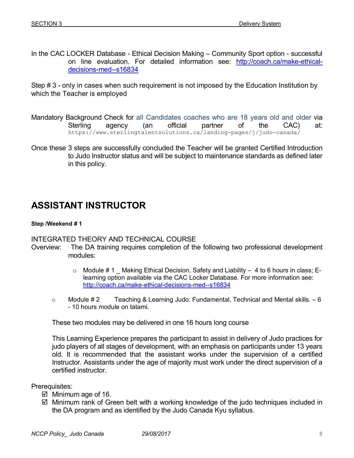In the CAC LOCKER Database - Ethical Decision Making – Community Sport option - successful on line evaluation. For detailed information see: http://coach.ca/make-ethicaldecisions-med--s16834

Step # 3 - only in cases when such requirement is not imposed by the Education Institution by which the Teacher is employed

- Mandatory Background Check for all Candidates coaches who are 18 years old and older via Sterling agency (an official partner of the CAC) at: https://www.sterlingtalentsolutions.ca/landing-pages/j/judo-canada/
- Once these 3 steps are successfully concluded the Teacher will be granted Certified Introduction to Judo Instructor status and will be subject to maintenance standards as defined later in this policy.

# **ASSISTANT INSTRUCTOR**

#### **Step /Weekend # 1**

### INTEGRATED THEORY AND TECHNICAL COURSE

- Overview: The DA training requires completion of the following two professional development modules:
	- $\circ$  Module #1 \_ Making Ethical Decision, Safety and Liability  $-4$  to 6 hours in class; Elearning option available via the CAC Locker Database. For more information see: http://coach.ca/make-ethical-decisions-med--s16834
	- $\circ$  Module # 2 Teaching & Learning Judo: Fundamental, Technical and Mental skills. 6 - 10 hours module on tatami.

These two modules may be delivered in one 16 hours long course

 This Learning Experience prepares the participant to assist in delivery of Judo practices for judo players of all stages of development, with an emphasis on participants under 13 years old. It is recommended that the assistant works under the supervision of a certified Instructor. Assistants under the age of majority must work under the direct supervision of a certified instructor.

Prerequisites:

- $\overline{\mathcal{Q}}$  Minimum age of 16.
- ⊠ Minimum rank of Green belt with a working knowledge of the judo techniques included in the DA program and as identified by the Judo Canada Kyu syllabus.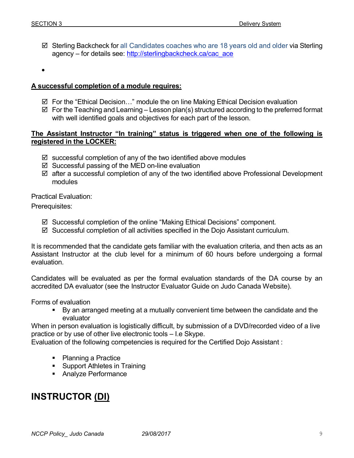- Sterling Backcheck for all Candidates coaches who are 18 years old and older via Sterling agency – for details see: http://sterlingbackcheck.ca/cac\_ace
- •

#### **A successful completion of a module requires:**

- $\boxtimes$  For the "Ethical Decision..." module the on line Making Ethical Decision evaluation
- $\boxtimes$  For the Teaching and Learning Lesson plan(s) structured according to the preferred format with well identified goals and objectives for each part of the lesson.

#### **The Assistant Instructor "In training" status is triggered when one of the following is registered in the LOCKER:**

- $\boxtimes$  successful completion of any of the two identified above modules
- ⊠ Successful passing of the MED on-line evaluation
- ⊠ after a successful completion of any of the two identified above Professional Development modules

Practical Evaluation:

Prerequisites:

- Successful completion of the online "Making Ethical Decisions" component.
- ⊠ Successful completion of all activities specified in the Dojo Assistant curriculum.

It is recommended that the candidate gets familiar with the evaluation criteria, and then acts as an Assistant Instructor at the club level for a minimum of 60 hours before undergoing a formal evaluation.

Candidates will be evaluated as per the formal evaluation standards of the DA course by an accredited DA evaluator (see the Instructor Evaluator Guide on Judo Canada Website).

Forms of evaluation

 By an arranged meeting at a mutually convenient time between the candidate and the evaluator

When in person evaluation is logistically difficult, by submission of a DVD/recorded video of a live practice or by use of other live electronic tools – I.e Skype.

Evaluation of the following competencies is required for the Certified Dojo Assistant :

- Planning a Practice
- **Support Athletes in Training**
- **Analyze Performance**

### **INSTRUCTOR (DI)**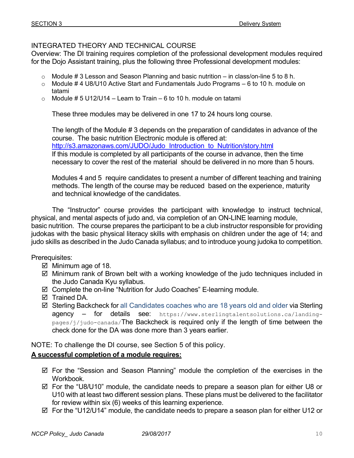### INTEGRATED THEORY AND TECHNICAL COURSE

Overview: The DI training requires completion of the professional development modules required for the Dojo Assistant training, plus the following three Professional development modules:

- o Module # 3 Lesson and Season Planning and basic nutrition in class/on-line 5 to 8 h.
- $\circ$  Module #4 U8/U10 Active Start and Fundamentals Judo Programs 6 to 10 h. module on tatami
- $\circ$  Module # 5 U12/U14 Learn to Train 6 to 10 h. module on tatami

These three modules may be delivered in one 17 to 24 hours long course.

The length of the Module # 3 depends on the preparation of candidates in advance of the course. The basic nutrition Electronic module is offered at: http://s3.amazonaws.com/JUDO/Judo\_Introduction\_to\_Nutrition/story.html If this module is completed by all participants of the course in advance, then the time necessary to cover the rest of the material should be delivered in no more than 5 hours.

Modules 4 and 5 require candidates to present a number of different teaching and training methods. The length of the course may be reduced based on the experience, maturity and technical knowledge of the candidates.

 The "Instructor" course provides the participant with knowledge to instruct technical, physical, and mental aspects of judo and, via completion of an ON-LINE learning module, basic nutrition. The course prepares the participant to be a club instructor responsible for providing judokas with the basic physical literacy skills with emphasis on children under the age of 14; and judo skills as described in the Judo Canada syllabus; and to introduce young judoka to competition.

Prerequisites:

- $\overline{\mathcal{Q}}$  Minimum age of 18.
- ⊠ Minimum rank of Brown belt with a working knowledge of the judo techniques included in the Judo Canada Kyu syllabus.
- ⊠ Complete the on-line "Nutrition for Judo Coaches" E-learning module.
- □ Trained DA.
- Sterling Backcheck for all Candidates coaches who are 18 years old and older via Sterling agency - for details see: https://www.sterlingtalentsolutions.ca/landingpages/j/judo-canada/The Backcheck is required only if the length of time between the check done for the DA was done more than 3 years earlier.

NOTE: To challenge the DI course, see Section 5 of this policy.

### **A successful completion of a module requires:**

- ⊠ For the "Session and Season Planning" module the completion of the exercises in the Workbook.
- ⊠ For the "U8/U10" module, the candidate needs to prepare a season plan for either U8 or U10 with at least two different session plans. These plans must be delivered to the facilitator for review within six (6) weeks of this learning experience.
- ⊠ For the "U12/U14" module, the candidate needs to prepare a season plan for either U12 or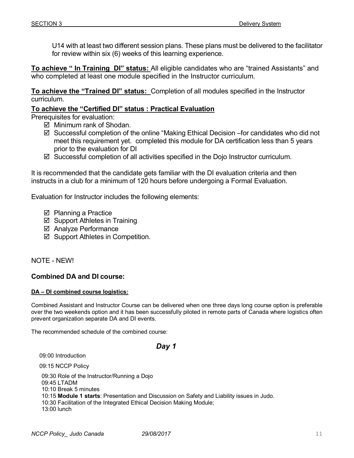U14 with at least two different session plans. These plans must be delivered to the facilitator for review within six (6) weeks of this learning experience.

**To achieve " In Training DI" status:** All eligible candidates who are "trained Assistants" and who completed at least one module specified in the Instructor curriculum.

**To achieve the "Trained DI" status:** Completion of all modules specified in the Instructor curriculum.

### **To achieve the "Certified DI" status : Practical Evaluation**

Prerequisites for evaluation:

- ⊠ Minimum rank of Shodan.
- Successful completion of the online "Making Ethical Decision –for candidates who did not meet this requirement yet. completed this module for DA certification less than 5 years prior to the evaluation for DI
- ⊠ Successful completion of all activities specified in the Dojo Instructor curriculum.

It is recommended that the candidate gets familiar with the DI evaluation criteria and then instructs in a club for a minimum of 120 hours before undergoing a Formal Evaluation.

Evaluation for Instructor includes the following elements:

- **Ø** Planning a Practice
- ⊠ Support Athletes in Training
- **Ø** Analyze Performance
- ⊠ Support Athletes in Competition.

NOTE - NEW!

#### **Combined DA and DI course:**

#### **DA – DI combined course logistics:**

Combined Assistant and Instructor Course can be delivered when one three days long course option is preferable over the two weekends option and it has been successfully piloted in remote parts of Canada where logistics often prevent organization separate DA and DI events.

The recommended schedule of the combined course:

#### *Day 1*

09:00 Introduction

09:15 NCCP Policy

09:30 Role of the Instructor/Running a Dojo 09:45 LTADM 10:10 Break 5 minutes 10:15 **Module 1 starts**: Presentation and Discussion on Safety and Liability issues in Judo. 10:30 Facilitation of the Integrated Ethical Decision Making Module; 13:00 lunch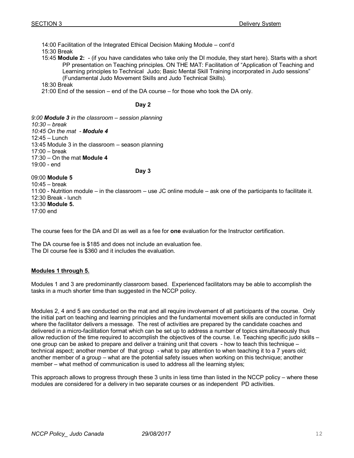14:00 Facilitation of the Integrated Ethical Decision Making Module – cont'd 15:30 Break 15:45 **Module 2:** - (if you have candidates who take only the DI module, they start here). Starts with a short PP presentation on Teaching principles. ON THE MAT: Facilitation of "Application of Teaching and Learning principles to Technical Judo; Basic Mental Skill Training incorporated in Judo sessions" (Fundamental Judo Movement Skills and Judo Technical Skills). 18:30 Break 21:00 End of the session – end of the DA course – for those who took the DA only.

#### **Day 2**

*9:00 Module 3 in the classroom – session planning 10:30 – break 10:45 On the mat - Module 4* 12:45 – Lunch 13:45 Module 3 in the classroom – season planning 17:00 – break 17:30 – On the mat **Module 4** 19:00 - end

09:00 **Module 5**

**Day 3**

10:45 – break 11:00 - Nutrition module – in the classroom – use JC online module – ask one of the participants to facilitate it. 12:30 Break - lunch 13:30 **Module 5.** 17:00 end

The course fees for the DA and DI as well as a fee for **one** evaluation for the Instructor certification.

The DA course fee is \$185 and does not include an evaluation fee. The DI course fee is \$360 and it includes the evaluation.

#### **Modules 1 through 5.**

Modules 1 and 3 are predominantly classroom based. Experienced facilitators may be able to accomplish the tasks in a much shorter time than suggested in the NCCP policy.

Modules 2, 4 and 5 are conducted on the mat and all require involvement of all participants of the course. Only the initial part on teaching and learning principles and the fundamental movement skills are conducted in format where the facilitator delivers a message. The rest of activities are prepared by the candidate coaches and delivered in a micro-facilitation format which can be set up to address a number of topics simultaneously thus allow reduction of the time required to accomplish the objectives of the course. I.e. Teaching specific judo skills – one group can be asked to prepare and deliver a training unit that covers - how to teach this technique – technical aspect; another member of that group - what to pay attention to when teaching it to a 7 years old; another member of a group – what are the potential safety issues when working on this technique; another member – what method of communication is used to address all the learning styles;

This approach allows to progress through these 3 units in less time than listed in the NCCP policy – where these modules are considered for a delivery in two separate courses or as independent PD activities.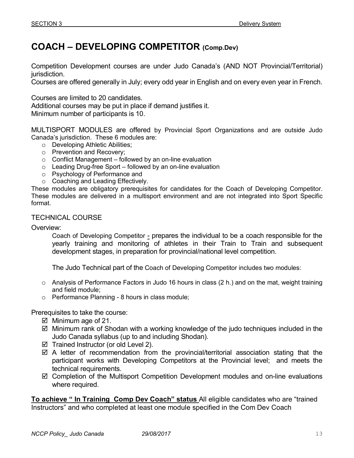# **COACH – DEVELOPING COMPETITOR (Comp.Dev)**

Competition Development courses are under Judo Canada's (AND NOT Provincial/Territorial) jurisdiction.

Courses are offered generally in July; every odd year in English and on every even year in French.

Courses are limited to 20 candidates.

Additional courses may be put in place if demand justifies it.

Minimum number of participants is 10.

MULTISPORT MODULES are offered by Provincial Sport Organizations and are outside Judo Canada's jurisdiction. These 6 modules are:

- o Developing Athletic Abilities;
- o Prevention and Recovery;
- $\circ$  Conflict Management followed by an on-line evaluation
- $\circ$  Leading Drug-free Sport followed by an on-line evaluation
- o Psychology of Performance and
- o Coaching and Leading Effectively.

These modules are obligatory prerequisites for candidates for the Coach of Developing Competitor. These modules are delivered in a multisport environment and are not integrated into Sport Specific format.

### TECHNICAL COURSE

Overview:

 Coach of Developing Competitor - prepares the individual to be a coach responsible for the yearly training and monitoring of athletes in their Train to Train and subsequent development stages, in preparation for provincial/national level competition.

The Judo Technical part of the Coach of Developing Competitor includes two modules:

- o Analysis of Performance Factors in Judo 16 hours in class (2 h.) and on the mat, weight training and field module;
- o Performance Planning 8 hours in class module;

Prerequisites to take the course:

- $\overline{\mathcal{Q}}$  Minimum age of 21.
- ⊠ Minimum rank of Shodan with a working knowledge of the judo techniques included in the Judo Canada syllabus (up to and including Shodan).
- $\boxtimes$  Trained Instructor (or old Level 2).
- ⊠ A letter of recommendation from the provincial/territorial association stating that the participant works with Developing Competitors at the Provincial level; and meets the technical requirements.
- ⊠ Completion of the Multisport Competition Development modules and on-line evaluations where required.

**To achieve " In Training Comp Dev Coach" status** All eligible candidates who are "trained Instructors" and who completed at least one module specified in the Com Dev Coach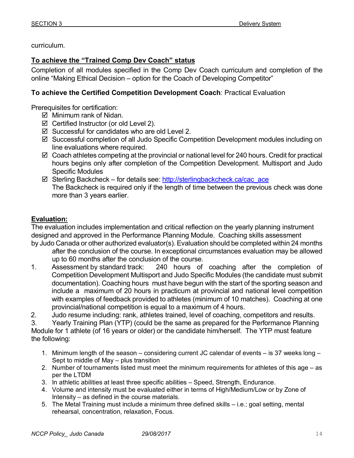curriculum.

### **To achieve the "Trained Comp Dev Coach" status**

Completion of all modules specified in the Comp Dev Coach curriculum and completion of the online "Making Ethical Decision – option for the Coach of Developing Competitor"

### **To achieve the Certified Competition Development Coach**: Practical Evaluation

Prerequisites for certification:

- ⊠ Minimum rank of Nidan.
- $\boxtimes$  Certified Instructor (or old Level 2).
- ⊠ Successful for candidates who are old Level 2.
- Successful completion of all Judo Specific Competition Development modules including on line evaluations where required.
- ⊠ Coach athletes competing at the provincial or national level for 240 hours. Credit for practical hours begins only after completion of the Competition Development. Multisport and Judo Specific Modules
- ⊠ Sterling Backcheck for details see: http://sterlingbackcheck.ca/cac\_ace The Backcheck is required only if the length of time between the previous check was done more than 3 years earlier.

### **Evaluation:**

The evaluation includes implementation and critical reflection on the yearly planning instrument designed and approved in the Performance Planning Module. Coaching skills assessment by Judo Canada or other authorized evaluator(s). Evaluation should be completed within 24 months

- after the conclusion of the course. In exceptional circumstances evaluation may be allowed up to 60 months after the conclusion of the course.
- 1. Assessment by standard track: 240 hours of coaching after the completion of Competition Development Multisport and Judo Specific Modules (the candidate must submit documentation). Coaching hours must have begun with the start of the sporting season and include a maximum of 20 hours in practicum at provincial and national level competition with examples of feedback provided to athletes (minimum of 10 matches). Coaching at one provincial/national competition is equal to a maximum of 4 hours.
- 2. Judo resume including: rank, athletes trained, level of coaching, competitors and results.

3. Yearly Training Plan (YTP) (could be the same as prepared for the Performance Planning Module for 1 athlete (of 16 years or older) or the candidate him/herself. The YTP must feature the following:

- 1. Minimum length of the season considering current JC calendar of events is 37 weeks long Sept to middle of May – plus transition
- 2. Number of tournaments listed must meet the minimum requirements for athletes of this age as per the LTDM
- 3. In athletic abilities at least three specific abilities Speed, Strength, Endurance.
- 4. Volume and intensity must be evaluated either in terms of High/Medium/Low or by Zone of Intensity – as defined in the course materials.
- 5. The Metal Training must include a minimum three defined skills i.e.: goal setting, mental rehearsal, concentration, relaxation, Focus.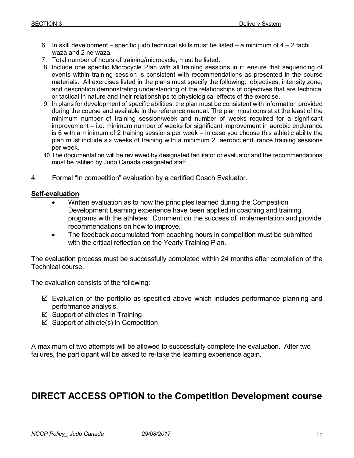- 6. In skill development specific judo technical skills must be listed a minimum of 4 2 tachi waza and 2 ne waza.
- 7. Total number of hours of training/microcycle, must be listed.
- 8. Include one specific Microcycle Plan with all training sessions in it; ensure that sequencing of events within training session is consistent with recommendations as presented in the course materials. All exercises listed in the plans must specify the following: objectives, intensity zone, and description demonstrating understanding of the relationships of objectives that are technical or tactical in nature and their relationships to physiological effects of the exercise.
- 9. In plans for development of specific abilities: the plan must be consistent with information provided during the course and available in the reference manual. The plan must consist at the least of the minimum number of training session/week and number of weeks required for a significant improvement – i.e. minimum number of weeks for significant improvement in aerobic endurance is 6 with a minimum of 2 training sessions per week – in case you choose this athletic ability the plan must include six weeks of training with a minimum 2 aerobic endurance training sessions per week.
- 10. The documentation will be reviewed by designated facilitator or evaluator and the recommendations must be ratified by Judo Canada designated staff.
- 4. Formal "In competition" evaluation by a certified Coach Evaluator.

#### **Self-evaluation**

- Written evaluation as to how the principles learned during the Competition Development Learning experience have been applied in coaching and training programs with the athletes. Comment on the success of implementation and provide recommendations on how to improve.
- The feedback accumulated from coaching hours in competition must be submitted with the critical reflection on the Yearly Training Plan.

The evaluation process must be successfully completed within 24 months after completion of the Technical course.

The evaluation consists of the following:

- ⊠ Evaluation of the portfolio as specified above which includes performance planning and performance analysis.
- ⊠ Support of athletes in Training
- $\boxtimes$  Support of athlete(s) in Competition

A maximum of two attempts will be allowed to successfully complete the evaluation. After two failures, the participant will be asked to re-take the learning experience again.

### **DIRECT ACCESS OPTION to the Competition Development course**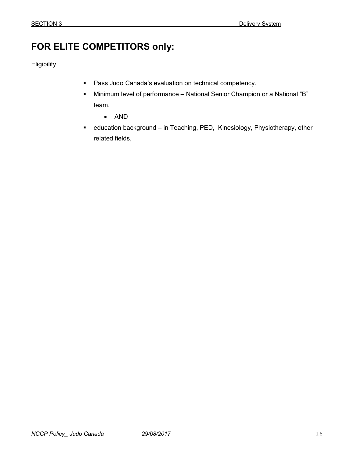# **FOR ELITE COMPETITORS only:**

**Eligibility** 

- **Pass Judo Canada's evaluation on technical competency.**
- Minimum level of performance National Senior Champion or a National "B" team.
	- AND
- education background in Teaching, PED, Kinesiology, Physiotherapy, other related fields,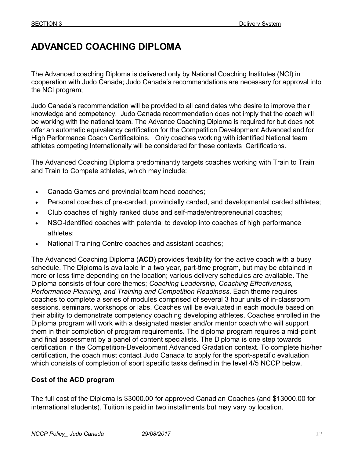# **ADVANCED COACHING DIPLOMA**

The Advanced coaching Diploma is delivered only by National Coaching Institutes (NCI) in cooperation with Judo Canada; Judo Canada's recommendations are necessary for approval into the NCI program;

Judo Canada's recommendation will be provided to all candidates who desire to improve their knowledge and competency. Judo Canada recommendation does not imply that the coach will be working with the national team. The Advance Coaching Diploma is required for but does not offer an automatic equivalency certification for the Competition Development Advanced and for High Performance Coach Certificatoins. Only coaches working with identified National team athletes competing Internationally will be considered for these contexts Certifications.

The Advanced Coaching Diploma predominantly targets coaches working with Train to Train and Train to Compete athletes, which may include:

- Canada Games and provincial team head coaches;
- Personal coaches of pre-carded, provincially carded, and developmental carded athletes;
- Club coaches of highly ranked clubs and self-made/entrepreneurial coaches;
- NSO-identified coaches with potential to develop into coaches of high performance athletes;
- National Training Centre coaches and assistant coaches;

The Advanced Coaching Diploma (**ACD**) provides flexibility for the active coach with a busy schedule. The Diploma is available in a two year, part-time program, but may be obtained in more or less time depending on the location; various delivery schedules are available. The Diploma consists of four core themes; *Coaching Leadership, Coaching Effectiveness, Performance Planning, and Training and Competition Readiness*. Each theme requires coaches to complete a series of modules comprised of several 3 hour units of in-classroom sessions, seminars, workshops or labs. Coaches will be evaluated in each module based on their ability to demonstrate competency coaching developing athletes. Coaches enrolled in the Diploma program will work with a designated master and/or mentor coach who will support them in their completion of program requirements. The diploma program requires a mid-point and final assessment by a panel of content specialists. The Diploma is one step towards certification in the Competition-Development Advanced Gradation context. To complete his/her certification, the coach must contact Judo Canada to apply for the sport-specific evaluation which consists of completion of sport specific tasks defined in the level 4/5 NCCP below.

### **Cost of the ACD program**

The full cost of the Diploma is \$3000.00 for approved Canadian Coaches (and \$13000.00 for international students). Tuition is paid in two installments but may vary by location.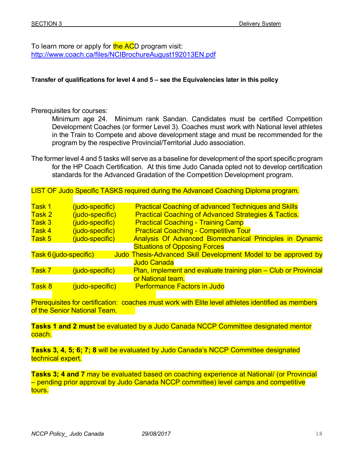To learn more or apply for the ACD program visit: http://www.coach.ca/files/NCIBrochureAugust192013EN.pdf

#### **Transfer of qualifications for level 4 and 5 – see the Equivalencies later in this policy**

Prerequisites for courses:

 Minimum age 24. Minimum rank Sandan. Candidates must be certified Competition Development Coaches (or former Level 3). Coaches must work with National level athletes in the Train to Compete and above development stage and must be recommended for the program by the respective Provincial/Territorial Judo association.

The former level 4 and 5 tasks will serve as a baseline for development of the sport specific program for the HP Coach Certification. At this time Judo Canada opted not to develop certification standards for the Advanced Gradation of the Competition Development program.

LIST OF Judo Specific TASKS required during the Advanced Coaching Diploma program.

| Task 1                               | (judo-specific) | <b>Practical Coaching of advanced Techniques and Skills</b>     |
|--------------------------------------|-----------------|-----------------------------------------------------------------|
|                                      |                 |                                                                 |
| Task 2                               | (judo-specific) | <b>Practical Coaching of Advanced Strategies &amp; Tactics.</b> |
| Task 3                               | (judo-specific) | <b>Practical Coaching - Training Camp</b>                       |
| Task 4                               | (judo-specific) | <b>Practical Coaching - Competitive Tour</b>                    |
| Task 5                               | (judo-specific) | Analysis Of Advanced Biomechanical Principles in Dynamic        |
| <b>Situations of Opposing Forces</b> |                 |                                                                 |
| Task 6 (judo-specific)               |                 | Judo Thesis-Advanced Skill Development Model to be approved by  |
|                                      |                 | <b>Judo Canada</b>                                              |
| Task 7                               | (judo-specific) | Plan, implement and evaluate training plan – Club or Provincial |
|                                      |                 | or National team.                                               |
| Task 8                               | (judo-specific) | <b>Performance Factors in Judo</b>                              |

Prerequisites for certification: coaches must work with Elite level athletes identified as members of the Senior National Team.

**Tasks 1 and 2 must** be evaluated by a Judo Canada NCCP Committee designated mentor coach.

**Tasks 3, 4, 5; 6; 7; 8** will be evaluated by Judo Canada's NCCP Committee designated technical expert.

**Tasks 3; 4 and 7** may be evaluated based on coaching experience at National/ (or Provincial – pending prior approval by Judo Canada NCCP committee) level camps and competitive tours.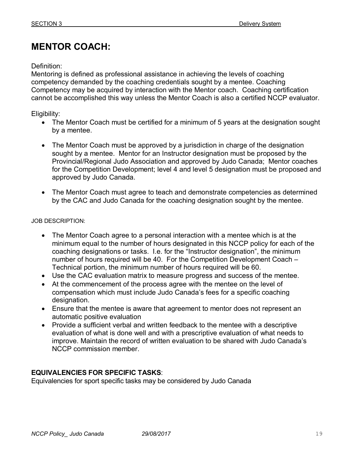# **MENTOR COACH:**

### Definition:

Mentoring is defined as professional assistance in achieving the levels of coaching competency demanded by the coaching credentials sought by a mentee. Coaching Competency may be acquired by interaction with the Mentor coach. Coaching certification cannot be accomplished this way unless the Mentor Coach is also a certified NCCP evaluator.

Eligibility:

- The Mentor Coach must be certified for a minimum of 5 years at the designation sought by a mentee.
- The Mentor Coach must be approved by a jurisdiction in charge of the designation sought by a mentee. Mentor for an Instructor designation must be proposed by the Provincial/Regional Judo Association and approved by Judo Canada; Mentor coaches for the Competition Development; level 4 and level 5 designation must be proposed and approved by Judo Canada.
- The Mentor Coach must agree to teach and demonstrate competencies as determined by the CAC and Judo Canada for the coaching designation sought by the mentee.

### JOB DESCRIPTION:

- The Mentor Coach agree to a personal interaction with a mentee which is at the minimum equal to the number of hours designated in this NCCP policy for each of the coaching designations or tasks. I.e. for the "Instructor designation", the minimum number of hours required will be 40. For the Competition Development Coach – Technical portion, the minimum number of hours required will be 60.
- Use the CAC evaluation matrix to measure progress and success of the mentee.
- At the commencement of the process agree with the mentee on the level of compensation which must include Judo Canada's fees for a specific coaching designation.
- Ensure that the mentee is aware that agreement to mentor does not represent an automatic positive evaluation
- Provide a sufficient verbal and written feedback to the mentee with a descriptive evaluation of what is done well and with a prescriptive evaluation of what needs to improve. Maintain the record of written evaluation to be shared with Judo Canada's NCCP commission member.

### **EQUIVALENCIES FOR SPECIFIC TASKS**:

Equivalencies for sport specific tasks may be considered by Judo Canada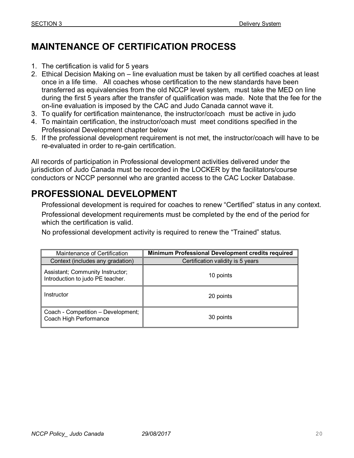# **MAINTENANCE OF CERTIFICATION PROCESS**

- 1. The certification is valid for 5 years
- 2. Ethical Decision Making on line evaluation must be taken by all certified coaches at least once in a life time. All coaches whose certification to the new standards have been transferred as equivalencies from the old NCCP level system, must take the MED on line during the first 5 years after the transfer of qualification was made. Note that the fee for the on-line evaluation is imposed by the CAC and Judo Canada cannot wave it.
- 3. To qualify for certification maintenance, the instructor/coach must be active in judo
- 4. To maintain certification, the instructor/coach must meet conditions specified in the Professional Development chapter below
- 5. If the professional development requirement is not met, the instructor/coach will have to be re-evaluated in order to re-gain certification.

All records of participation in Professional development activities delivered under the jurisdiction of Judo Canada must be recorded in the LOCKER by the facilitators/course conductors or NCCP personnel who are granted access to the CAC Locker Database.

# **PROFESSIONAL DEVELOPMENT**

Professional development is required for coaches to renew "Certified" status in any context.

Professional development requirements must be completed by the end of the period for which the certification is valid.

No professional development activity is required to renew the "Trained" status.

| Maintenance of Certification                                         | Minimum Professional Development credits required |
|----------------------------------------------------------------------|---------------------------------------------------|
| Context (includes any gradation)                                     | Certification validity is 5 years                 |
| Assistant; Community Instructor;<br>Introduction to judo PE teacher. | 10 points                                         |
| Instructor                                                           | 20 points                                         |
| Coach - Competition - Development;<br>Coach High Performance         | 30 points                                         |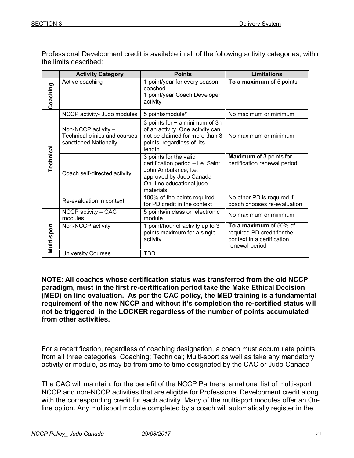Professional Development credit is available in all of the following activity categories, within the limits described:

|             | <b>Activity Category</b>                                                      | <b>Points</b>                                                                                                                                             | <b>Limitations</b>                                                                                   |  |
|-------------|-------------------------------------------------------------------------------|-----------------------------------------------------------------------------------------------------------------------------------------------------------|------------------------------------------------------------------------------------------------------|--|
| Coaching    | Active coaching                                                               | 1 point/year for every season<br>coached<br>1 point/year Coach Developer<br>activity                                                                      | To a maximum of 5 points                                                                             |  |
|             | NCCP activity- Judo modules                                                   | 5 points/module*                                                                                                                                          | No maximum or minimum                                                                                |  |
| Technical   | Non-NCCP activity -<br>Technical clinics and courses<br>sanctioned Nationally | 3 points for $\sim$ a minimum of 3h<br>of an activity. One activity can<br>not be claimed for more than 3<br>points, regardless of its<br>length.         | No maximum or minimum                                                                                |  |
|             | Coach self-directed activity                                                  | 3 points for the valid<br>certification period - I.e. Saint<br>John Ambulance; I.e.<br>approved by Judo Canada<br>On- line educational judo<br>materials. | <b>Maximum</b> of 3 points for<br>certification renewal period                                       |  |
|             | Re-evaluation in context                                                      | 100% of the points required<br>for PD credit in the context                                                                                               | No other PD is required if<br>coach chooses re-evaluation                                            |  |
|             | NCCP activity - CAC<br>modules                                                | 5 points/in class or electronic<br>module                                                                                                                 | No maximum or minimum                                                                                |  |
| Multi-sport | Non-NCCP activity                                                             | 1 point/hour of activity up to 3<br>points maximum for a single<br>activity.                                                                              | To a maximum of 50% of<br>required PD credit for the<br>context in a certification<br>renewal period |  |
|             | <b>University Courses</b>                                                     | <b>TBD</b>                                                                                                                                                |                                                                                                      |  |

**NOTE: All coaches whose certification status was transferred from the old NCCP paradigm, must in the first re-certification period take the Make Ethical Decision (MED) on line evaluation. As per the CAC policy, the MED training is a fundamental requirement of the new NCCP and without it's completion the re-certified status will not be triggered in the LOCKER regardless of the number of points accumulated from other activities.** 

For a recertification, regardless of coaching designation, a coach must accumulate points from all three categories: Coaching; Technical; Multi-sport as well as take any mandatory activity or module, as may be from time to time designated by the CAC or Judo Canada

The CAC will maintain, for the benefit of the NCCP Partners, a national list of multi-sport NCCP and non-NCCP activities that are eligible for Professional Development credit along with the corresponding credit for each activity. Many of the multisport modules offer an Online option. Any multisport module completed by a coach will automatically register in the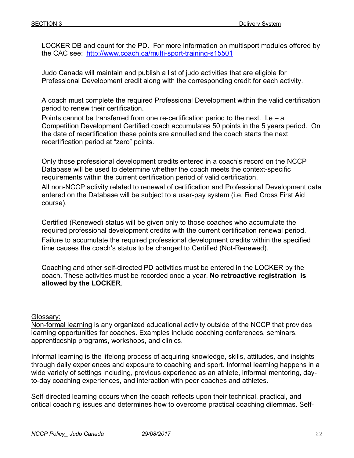LOCKER DB and count for the PD. For more information on multisport modules offered by the CAC see: http://www.coach.ca/multi-sport-training-s15501

Judo Canada will maintain and publish a list of judo activities that are eligible for Professional Development credit along with the corresponding credit for each activity.

A coach must complete the required Professional Development within the valid certification period to renew their certification.

Points cannot be transferred from one re-certification period to the next. I.e  $- a$ Competition Development Certified coach accumulates 50 points in the 5 years period. On the date of recertification these points are annulled and the coach starts the next recertification period at "zero" points.

Only those professional development credits entered in a coach's record on the NCCP Database will be used to determine whether the coach meets the context-specific requirements within the current certification period of valid certification.

All non-NCCP activity related to renewal of certification and Professional Development data entered on the Database will be subject to a user-pay system (i.e. Red Cross First Aid course).

Certified (Renewed) status will be given only to those coaches who accumulate the required professional development credits with the current certification renewal period. Failure to accumulate the required professional development credits within the specified time causes the coach's status to be changed to Certified (Not-Renewed).

Coaching and other self-directed PD activities must be entered in the LOCKER by the coach. These activities must be recorded once a year. **No retroactive registration is allowed by the LOCKER**.

### Glossary:

Non-formal learning is any organized educational activity outside of the NCCP that provides learning opportunities for coaches. Examples include coaching conferences, seminars, apprenticeship programs, workshops, and clinics.

Informal learning is the lifelong process of acquiring knowledge, skills, attitudes, and insights through daily experiences and exposure to coaching and sport. Informal learning happens in a wide variety of settings including, previous experience as an athlete, informal mentoring, dayto-day coaching experiences, and interaction with peer coaches and athletes.

Self-directed learning occurs when the coach reflects upon their technical, practical, and critical coaching issues and determines how to overcome practical coaching dilemmas. Self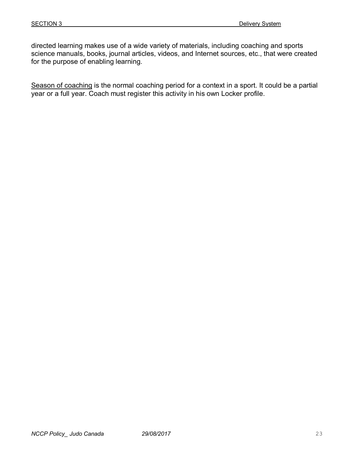directed learning makes use of a wide variety of materials, including coaching and sports science manuals, books, journal articles, videos, and Internet sources, etc., that were created for the purpose of enabling learning.

Season of coaching is the normal coaching period for a context in a sport. It could be a partial year or a full year. Coach must register this activity in his own Locker profile.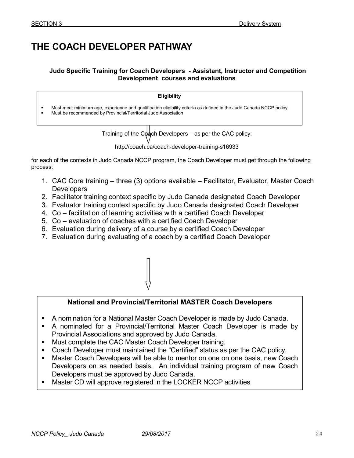# **THE COACH DEVELOPER PATHWAY**

#### **Judo Specific Training for Coach Developers - Assistant, Instructor and Competition Development courses and evaluations**

|        | <b>Eligibility</b>                                                                                                                                                                    |  |
|--------|---------------------------------------------------------------------------------------------------------------------------------------------------------------------------------------|--|
| ٠<br>٠ | Must meet minimum age, experience and qualification eligibility criteria as defined in the Judo Canada NCCP policy.<br>Must be recommended by Provincial/Territorial Judo Association |  |
|        | Training of the Coach Developers – as per the CAC policy:                                                                                                                             |  |

 $ers - as$  per the CAC policy: http://coach.ca/coach-developer-training-s16933

for each of the contexts in Judo Canada NCCP program, the Coach Developer must get through the following process:

- 1. CAC Core training three (3) options available Facilitator, Evaluator, Master Coach **Developers**
- 2. Facilitator training context specific by Judo Canada designated Coach Developer
- 3. Evaluator training context specific by Judo Canada designated Coach Developer
- 4. Co facilitation of learning activities with a certified Coach Developer
- 5. Co evaluation of coaches with a certified Coach Developer
- 6. Evaluation during delivery of a course by a certified Coach Developer
- 7. Evaluation during evaluating of a coach by a certified Coach Developer



### **National and Provincial/Territorial MASTER Coach Developers**

- A nomination for a National Master Coach Developer is made by Judo Canada.
- A nominated for a Provincial/Territorial Master Coach Developer is made by Provincial Associations and approved by Judo Canada.
- **Must complete the CAC Master Coach Developer training.**
- Coach Developer must maintained the "Certified" status as per the CAC policy.
- Master Coach Developers will be able to mentor on one on one basis, new Coach Developers on as needed basis. An individual training program of new Coach Developers must be approved by Judo Canada.
- Master CD will approve registered in the LOCKER NCCP activities

 $\overline{a}$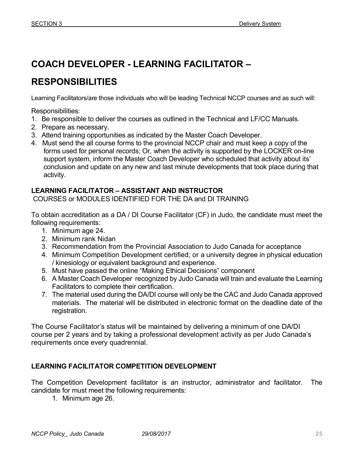# **COACH DEVELOPER - LEARNING FACILITATOR –**

# **RESPONSIBILITIES**

Learning Facilitators/are those individuals who will be leading Technical NCCP courses and as such will:

Responsibilities:

- 1. Be responsible to deliver the courses as outlined in the Technical and LF/CC Manuals.
- 2. Prepare as necessary.
- 3. Attend training opportunities as indicated by the Master Coach Developer.
- 4. Must send the all course forms to the provincial NCCP chair and must keep a copy of the forms used for personal records; Or, when the activity is supported by the LOCKER on-line support system, inform the Master Coach Developer who scheduled that activity about its' conclusion and update on any new and last minute developments that took place during that activity.

### **LEARNING FACILITATOR – ASSISTANT AND INSTRUCTOR**

COURSES or MODULES IDENTIFIED FOR THE DA and DI TRAINING

To obtain accreditation as a DA / DI Course Facilitator (CF) in Judo, the candidate must meet the following requirements:

- 1. Minimum age 24.
- 2. Minimum rank Nidan
- 3. Recommendation from the Provincial Association to Judo Canada for acceptance
- 4. Minimum Competition Development certified; or a university degree in physical education / kinesiology or equivalent background and experience.
- 5. Must have passed the online "Making Ethical Decisions" component
- 6. A Master Coach Developer recognized by Judo Canada will train and evaluate the Learning Facilitators to complete their certification.
- 7. The material used during the DA/DI course will only be the CAC and Judo Canada approved materials. The material will be distributed in electronic format on the deadline date of the registration.

The Course Facilitator's status will be maintained by delivering a minimum of one DA/DI course per 2 years and by taking a professional development activity as per Judo Canada's requirements once every quadrennial.

### **LEARNING FACILITATOR COMPETITION DEVELOPMENT**

The Competition Development facilitator is an instructor, administrator and facilitator. The candidate for must meet the following requirements:

1. Minimum age 26.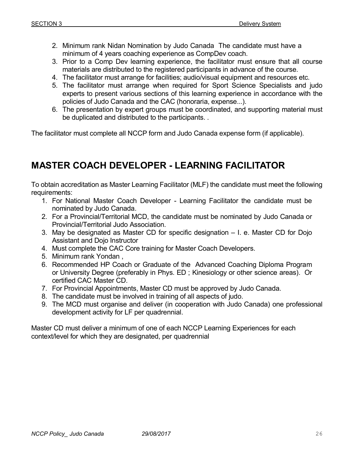- 2. Minimum rank Nidan Nomination by Judo Canada The candidate must have a minimum of 4 years coaching experience as CompDev coach.
- 3. Prior to a Comp Dev learning experience, the facilitator must ensure that all course materials are distributed to the registered participants in advance of the course.
- 4. The facilitator must arrange for facilities; audio/visual equipment and resources etc.
- 5. The facilitator must arrange when required for Sport Science Specialists and judo experts to present various sections of this learning experience in accordance with the policies of Judo Canada and the CAC (honoraria, expense...).
- 6. The presentation by expert groups must be coordinated, and supporting material must be duplicated and distributed to the participants. .

The facilitator must complete all NCCP form and Judo Canada expense form (if applicable).

# **MASTER COACH DEVELOPER - LEARNING FACILITATOR**

To obtain accreditation as Master Learning Facilitator (MLF) the candidate must meet the following requirements:

- 1. For National Master Coach Developer Learning Facilitator the candidate must be nominated by Judo Canada.
- 2. For a Provincial/Territorial MCD, the candidate must be nominated by Judo Canada or Provincial/Territorial Judo Association.
- 3. May be designated as Master CD for specific designation I. e. Master CD for Dojo Assistant and Dojo Instructor
- 4. Must complete the CAC Core training for Master Coach Developers.
- 5. Minimum rank Yondan ,
- 6. Recommended HP Coach or Graduate of the Advanced Coaching Diploma Program or University Degree (preferably in Phys. ED ; Kinesiology or other science areas). Or certified CAC Master CD.
- 7. For Provincial Appointments, Master CD must be approved by Judo Canada.
- 8. The candidate must be involved in training of all aspects of judo.
- 9. The MCD must organise and deliver (in cooperation with Judo Canada) one professional development activity for LF per quadrennial.

Master CD must deliver a minimum of one of each NCCP Learning Experiences for each context/level for which they are designated, per quadrennial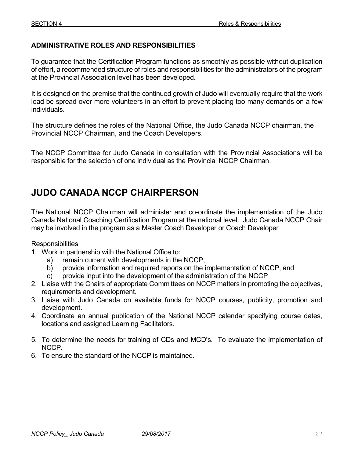### **ADMINISTRATIVE ROLES AND RESPONSIBILITIES**

To guarantee that the Certification Program functions as smoothly as possible without duplication of effort, a recommended structure of roles and responsibilities for the administrators of the program at the Provincial Association level has been developed.

It is designed on the premise that the continued growth of Judo will eventually require that the work load be spread over more volunteers in an effort to prevent placing too many demands on a few individuals.

The structure defines the roles of the National Office, the Judo Canada NCCP chairman, the Provincial NCCP Chairman, and the Coach Developers.

The NCCP Committee for Judo Canada in consultation with the Provincial Associations will be responsible for the selection of one individual as the Provincial NCCP Chairman.

# **JUDO CANADA NCCP CHAIRPERSON**

The National NCCP Chairman will administer and co-ordinate the implementation of the Judo Canada National Coaching Certification Program at the national level. Judo Canada NCCP Chair may be involved in the program as a Master Coach Developer or Coach Developer

**Responsibilities** 

- 1. Work in partnership with the National Office to:
	- a) remain current with developments in the NCCP,
	- b) provide information and required reports on the implementation of NCCP, and
	- c) provide input into the development of the administration of the NCCP
- 2. Liaise with the Chairs of appropriate Committees on NCCP matters in promoting the objectives, requirements and development.
- 3. Liaise with Judo Canada on available funds for NCCP courses, publicity, promotion and development.
- 4. Coordinate an annual publication of the National NCCP calendar specifying course dates, locations and assigned Learning Facilitators.
- 5. To determine the needs for training of CDs and MCD's. To evaluate the implementation of NCCP.
- 6. To ensure the standard of the NCCP is maintained.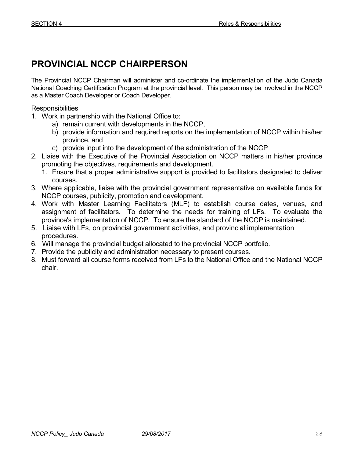# **PROVINCIAL NCCP CHAIRPERSON**

The Provincial NCCP Chairman will administer and co-ordinate the implementation of the Judo Canada National Coaching Certification Program at the provincial level. This person may be involved in the NCCP as a Master Coach Developer or Coach Developer.

**Responsibilities** 

- 1. Work in partnership with the National Office to:
	- a) remain current with developments in the NCCP,
	- b) provide information and required reports on the implementation of NCCP within his/her province, and
	- c) provide input into the development of the administration of the NCCP
- 2. Liaise with the Executive of the Provincial Association on NCCP matters in his/her province promoting the objectives, requirements and development.
	- 1. Ensure that a proper administrative support is provided to facilitators designated to deliver courses.
- 3. Where applicable, liaise with the provincial government representative on available funds for NCCP courses, publicity, promotion and development.
- 4. Work with Master Learning Facilitators (MLF) to establish course dates, venues, and assignment of facilitators. To determine the needs for training of LFs. To evaluate the province's implementation of NCCP. To ensure the standard of the NCCP is maintained.
- 5. Liaise with LFs, on provincial government activities, and provincial implementation procedures.
- 6. Will manage the provincial budget allocated to the provincial NCCP portfolio.
- 7. Provide the publicity and administration necessary to present courses.
- 8. Must forward all course forms received from LFs to the National Office and the National NCCP chair.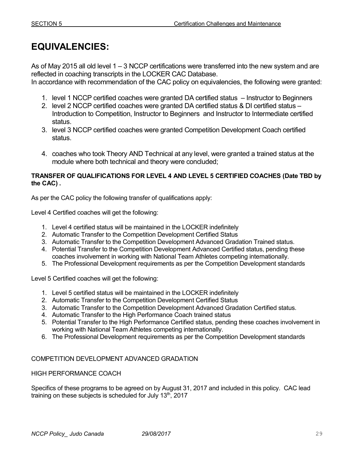# **EQUIVALENCIES:**

As of May 2015 all old level 1 – 3 NCCP certifications were transferred into the new system and are reflected in coaching transcripts in the LOCKER CAC Database.

In accordance with recommendation of the CAC policy on equivalencies, the following were granted:

- 1. level 1 NCCP certified coaches were granted DA certified status Instructor to Beginners
- 2. level 2 NCCP certified coaches were granted DA certified status & DI certified status Introduction to Competition, Instructor to Beginners and Instructor to Intermediate certified status.
- 3. level 3 NCCP certified coaches were granted Competition Development Coach certified status.
- 4. coaches who took Theory AND Technical at any level, were granted a trained status at the module where both technical and theory were concluded;

#### **TRANSFER OF QUALIFICATIONS FOR LEVEL 4 AND LEVEL 5 CERTIFIED COACHES (Date TBD by the CAC) .**

As per the CAC policy the following transfer of qualifications apply:

Level 4 Certified coaches will get the following:

- 1. Level 4 certified status will be maintained in the LOCKER indefinitely
- 2. Automatic Transfer to the Competition Development Certified Status
- 3. Automatic Transfer to the Competition Development Advanced Gradation Trained status.
- 4. Potential Transfer to the Competition Development Advanced Certified status, pending these coaches involvement in working with National Team Athletes competing internationally.
- 5. The Professional Development requirements as per the Competition Development standards

Level 5 Certified coaches will get the following:

- 1. Level 5 certified status will be maintained in the LOCKER indefinitely
- 2. Automatic Transfer to the Competition Development Certified Status
- 3. Automatic Transfer to the Competition Development Advanced Gradation Certified status.
- 4. Automatic Transfer to the High Performance Coach trained status
- 5. Potential Transfer to the High Performance Certified status, pending these coaches involvement in working with National Team Athletes competing internationally.
- 6. The Professional Development requirements as per the Competition Development standards

### COMPETITION DEVELOPMENT ADVANCED GRADATION

#### HIGH PERFORMANCE COACH

Specifics of these programs to be agreed on by August 31, 2017 and included in this policy. CAC lead training on these subjects is scheduled for July 13<sup>th</sup>, 2017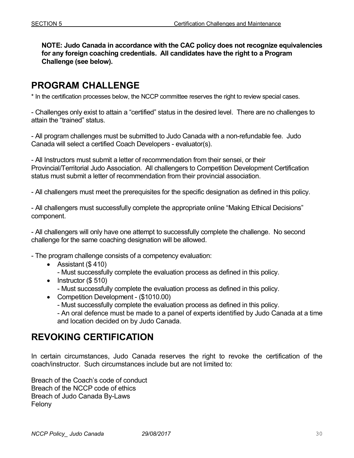**NOTE: Judo Canada in accordance with the CAC policy does not recognize equivalencies for any foreign coaching credentials. All candidates have the right to a Program Challenge (see below).** 

### **PROGRAM CHALLENGE**

\* In the certification processes below, the NCCP committee reserves the right to review special cases.

- Challenges only exist to attain a "certified" status in the desired level. There are no challenges to attain the "trained" status.

- All program challenges must be submitted to Judo Canada with a non-refundable fee. Judo Canada will select a certified Coach Developers - evaluator(s).

- All Instructors must submit a letter of recommendation from their sensei, or their Provincial/Territorial Judo Association. All challengers to Competition Development Certification status must submit a letter of recommendation from their provincial association.

- All challengers must meet the prerequisites for the specific designation as defined in this policy.

- All challengers must successfully complete the appropriate online "Making Ethical Decisions" component.

- All challengers will only have one attempt to successfully complete the challenge. No second challenge for the same coaching designation will be allowed.

- The program challenge consists of a competency evaluation:

- Assistant (\$ 410)
	- Must successfully complete the evaluation process as defined in this policy.
- Instructor (\$510)
	- Must successfully complete the evaluation process as defined in this policy.
- Competition Development (\$1010.00)
	- Must successfully complete the evaluation process as defined in this policy.
	- An oral defence must be made to a panel of experts identified by Judo Canada at a time and location decided on by Judo Canada.

### **REVOKING CERTIFICATION**

In certain circumstances, Judo Canada reserves the right to revoke the certification of the coach/instructor. Such circumstances include but are not limited to:

Breach of the Coach's code of conduct Breach of the NCCP code of ethics Breach of Judo Canada By-Laws Felony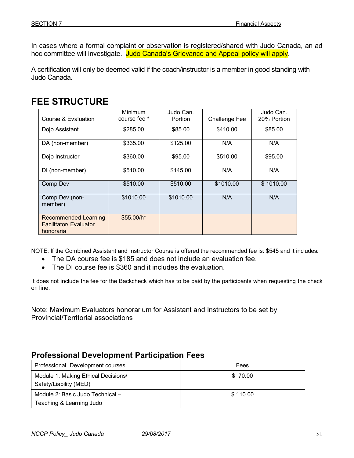In cases where a formal complaint or observation is registered/shared with Judo Canada, an ad hoc committee will investigate. Judo Canada's Grievance and Appeal policy will apply.

A certification will only be deemed valid if the coach/instructor is a member in good standing with Judo Canada.

# **FEE STRUCTURE**

| Course & Evaluation                                                | Minimum<br>course fee * | Judo Can.<br><b>Portion</b> | <b>Challenge Fee</b> | Judo Can.<br>20% Portion |
|--------------------------------------------------------------------|-------------------------|-----------------------------|----------------------|--------------------------|
| Dojo Assistant                                                     | \$285.00                | \$85.00                     | \$410.00             | \$85.00                  |
| DA (non-member)                                                    | \$335.00                | \$125.00                    | N/A                  | N/A                      |
| Dojo Instructor                                                    | \$360.00                | \$95.00                     | \$510.00             | \$95.00                  |
| DI (non-member)                                                    | \$510.00                | \$145.00                    | N/A                  | N/A                      |
| Comp Dev                                                           | \$510.00                | \$510.00                    | \$1010.00            | \$1010.00                |
| Comp Dev (non-<br>member)                                          | \$1010.00               | \$1010.00                   | N/A                  | N/A                      |
| Recommended Learning<br><b>Facilitator/ Evaluator</b><br>honoraria | \$55.00/h*              |                             |                      |                          |

NOTE: If the Combined Assistant and Instructor Course is offered the recommended fee is: \$545 and it includes:

- The DA course fee is \$185 and does not include an evaluation fee.
- The DI course fee is \$360 and it includes the evaluation.

It does not include the fee for the Backcheck which has to be paid by the participants when requesting the check on line.

Note: Maximum Evaluators honorarium for Assistant and Instructors to be set by Provincial/Territorial associations

### **Professional Development Participation Fees**

| Professional Development courses                              | Fees     |
|---------------------------------------------------------------|----------|
| Module 1: Making Ethical Decisions/<br>Safety/Liability (MED) | \$ 70.00 |
| Module 2: Basic Judo Technical -<br>Teaching & Learning Judo  | \$110.00 |